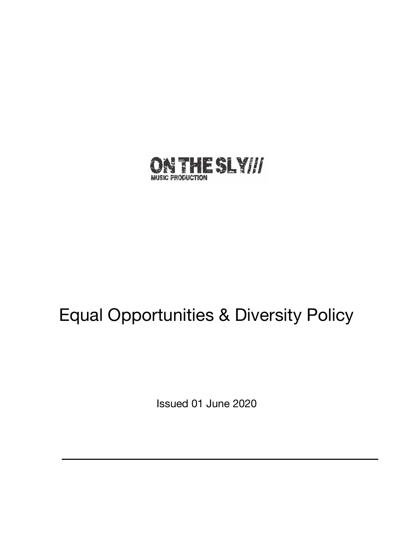

# Equal Opportunities & Diversity Policy

Issued 01 June 2020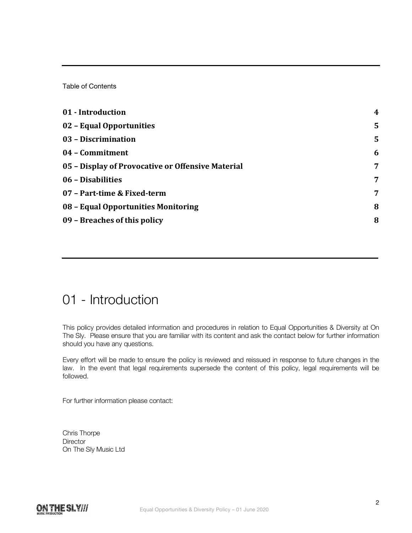Table of Contents

| 01 - Introduction                                 | $\boldsymbol{4}$ |
|---------------------------------------------------|------------------|
| 02 - Equal Opportunities                          | 5                |
| 03 - Discrimination                               | 5                |
| 04 - Commitment                                   | 6                |
| 05 - Display of Provocative or Offensive Material | 7                |
| 06 - Disabilities                                 | 7                |
| 07 - Part-time & Fixed-term                       | 7                |
| 08 - Equal Opportunities Monitoring               | 8                |
| 09 - Breaches of this policy                      | 8                |

## 01 - Introduction

This policy provides detailed information and procedures in relation to Equal Opportunities & Diversity at On The Sly. Please ensure that you are familiar with its content and ask the contact below for further information should you have any questions.

Every effort will be made to ensure the policy is reviewed and reissued in response to future changes in the law. In the event that legal requirements supersede the content of this policy, legal requirements will be followed.

For further information please contact:

Chris Thorpe **Director** On The Sly Music Ltd

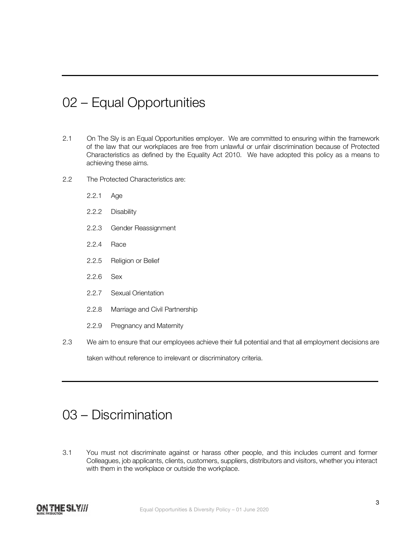## 02 – Equal Opportunities

- 2.1 On The Sly is an Equal Opportunities employer. We are committed to ensuring within the framework of the law that our workplaces are free from unlawful or unfair discrimination because of Protected Characteristics as defined by the Equality Act 2010. We have adopted this policy as a means to achieving these aims.
- 2.2 The Protected Characteristics are:
	- 2.2.1 Age
	- 2.2.2 Disability
	- 2.2.3 Gender Reassignment
	- 2.2.4 Race
	- 2.2.5 Religion or Belief
	- 2.2.6 Sex
	- 2.2.7 Sexual Orientation
	- 2.2.8 Marriage and Civil Partnership
	- 2.2.9 Pregnancy and Maternity
- 2.3 We aim to ensure that our employees achieve their full potential and that all employment decisions are taken without reference to irrelevant or discriminatory criteria.

#### 03 – Discrimination

3.1 You must not discriminate against or harass other people, and this includes current and former Colleagues, job applicants, clients, customers, suppliers, distributors and visitors, whether you interact with them in the workplace or outside the workplace.

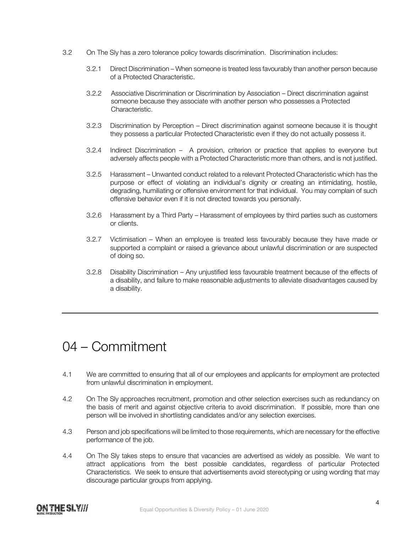- 3.2 On The Sly has a zero tolerance policy towards discrimination. Discrimination includes:
	- 3.2.1 Direct Discrimination When someone is treated less favourably than another person because of a Protected Characteristic.
	- 3.2.2 Associative Discrimination or Discrimination by Association Direct discrimination against someone because they associate with another person who possesses a Protected Characteristic.
	- 3.2.3 Discrimination by Perception Direct discrimination against someone because it is thought they possess a particular Protected Characteristic even if they do not actually possess it.
	- 3.2.4 Indirect Discrimination A provision, criterion or practice that applies to everyone but adversely affects people with a Protected Characteristic more than others, and is not justified.
	- 3.2.5 Harassment Unwanted conduct related to a relevant Protected Characteristic which has the purpose or effect of violating an individual's dignity or creating an intimidating, hostile, degrading, humiliating or offensive environment for that individual. You may complain of such offensive behavior even if it is not directed towards you personally.
	- 3.2.6 Harassment by a Third Party Harassment of employees by third parties such as customers or clients.
	- 3.2.7 Victimisation When an employee is treated less favourably because they have made or supported a complaint or raised a grievance about unlawful discrimination or are suspected of doing so.
	- 3.2.8 Disability Discrimination Any unjustified less favourable treatment because of the effects of a disability, and failure to make reasonable adjustments to alleviate disadvantages caused by a disability.

#### 04 – Commitment

- 4.1 We are committed to ensuring that all of our employees and applicants for employment are protected from unlawful discrimination in employment.
- 4.2 On The Sly approaches recruitment, promotion and other selection exercises such as redundancy on the basis of merit and against objective criteria to avoid discrimination. If possible, more than one person will be involved in shortlisting candidates and/or any selection exercises.
- 4.3 Person and job specifications will be limited to those requirements, which are necessary for the effective performance of the job.
- 4.4 On The Sly takes steps to ensure that vacancies are advertised as widely as possible. We want to attract applications from the best possible candidates, regardless of particular Protected Characteristics. We seek to ensure that advertisements avoid stereotyping or using wording that may discourage particular groups from applying.

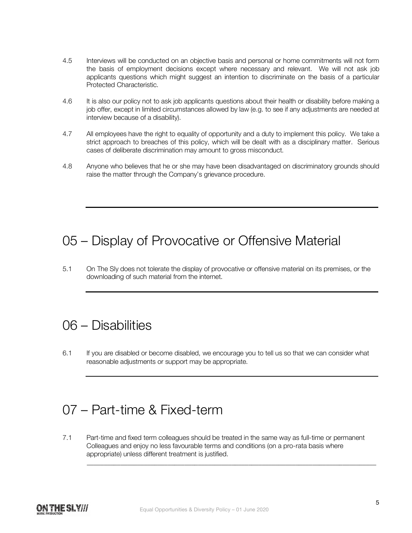- 4.5 Interviews will be conducted on an objective basis and personal or home commitments will not form the basis of employment decisions except where necessary and relevant. We will not ask job applicants questions which might suggest an intention to discriminate on the basis of a particular Protected Characteristic.
- 4.6 It is also our policy not to ask job applicants questions about their health or disability before making a job offer, except in limited circumstances allowed by law (e.g. to see if any adjustments are needed at interview because of a disability).
- 4.7 All employees have the right to equality of opportunity and a duty to implement this policy. We take a strict approach to breaches of this policy, which will be dealt with as a disciplinary matter. Serious cases of deliberate discrimination may amount to gross misconduct.
- 4.8 Anyone who believes that he or she may have been disadvantaged on discriminatory grounds should raise the matter through the Company's grievance procedure.

## 05 – Display of Provocative or Offensive Material

5.1 On The Sly does not tolerate the display of provocative or offensive material on its premises, or the downloading of such material from the internet.

#### 06 – Disabilities

6.1 If you are disabled or become disabled, we encourage you to tell us so that we can consider what reasonable adjustments or support may be appropriate.

## 07 – Part-time & Fixed-term

7.1 Part-time and fixed term colleagues should be treated in the same way as full-time or permanent Colleagues and enjoy no less favourable terms and conditions (on a pro-rata basis where appropriate) unless different treatment is justified.

\_\_\_\_\_\_\_\_\_\_\_\_\_\_\_\_\_\_\_\_\_\_\_\_\_\_\_\_\_\_\_\_\_\_\_\_\_\_\_\_\_\_\_\_\_\_\_\_\_\_\_\_\_\_\_\_\_\_\_\_\_\_\_\_\_\_\_\_\_\_\_\_\_\_\_\_\_\_\_\_\_\_\_\_\_\_